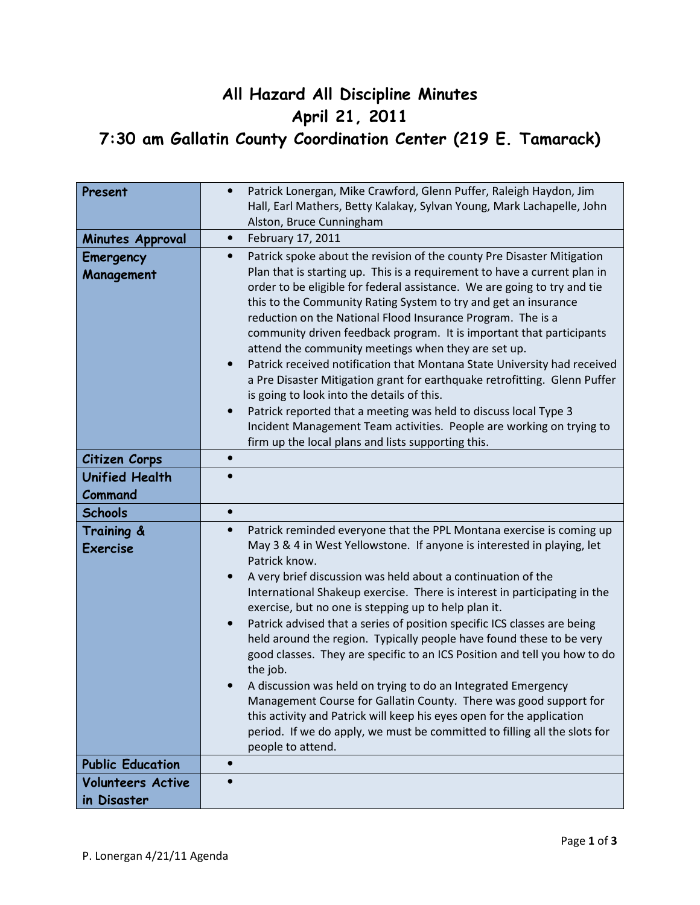## All Hazard All Discipline Minutes April 21, 2011 7:30 am Gallatin County Coordination Center (219 E. Tamarack)

| Present                                 | Patrick Lonergan, Mike Crawford, Glenn Puffer, Raleigh Haydon, Jim<br>$\bullet$<br>Hall, Earl Mathers, Betty Kalakay, Sylvan Young, Mark Lachapelle, John<br>Alston, Bruce Cunningham                                                                                                                                                                                                                                                                                                                                                                                                                                                                                                                                                                                                                                                                                                                                                                        |
|-----------------------------------------|--------------------------------------------------------------------------------------------------------------------------------------------------------------------------------------------------------------------------------------------------------------------------------------------------------------------------------------------------------------------------------------------------------------------------------------------------------------------------------------------------------------------------------------------------------------------------------------------------------------------------------------------------------------------------------------------------------------------------------------------------------------------------------------------------------------------------------------------------------------------------------------------------------------------------------------------------------------|
| Minutes Approval                        | February 17, 2011<br>$\bullet$                                                                                                                                                                                                                                                                                                                                                                                                                                                                                                                                                                                                                                                                                                                                                                                                                                                                                                                               |
| Emergency<br>Management                 | Patrick spoke about the revision of the county Pre Disaster Mitigation<br>$\bullet$<br>Plan that is starting up. This is a requirement to have a current plan in<br>order to be eligible for federal assistance. We are going to try and tie<br>this to the Community Rating System to try and get an insurance<br>reduction on the National Flood Insurance Program. The is a<br>community driven feedback program. It is important that participants<br>attend the community meetings when they are set up.<br>Patrick received notification that Montana State University had received<br>a Pre Disaster Mitigation grant for earthquake retrofitting. Glenn Puffer<br>is going to look into the details of this.<br>Patrick reported that a meeting was held to discuss local Type 3<br>$\bullet$<br>Incident Management Team activities. People are working on trying to<br>firm up the local plans and lists supporting this.                          |
| Citizen Corps                           | $\bullet$                                                                                                                                                                                                                                                                                                                                                                                                                                                                                                                                                                                                                                                                                                                                                                                                                                                                                                                                                    |
| <b>Unified Health</b><br>Command        |                                                                                                                                                                                                                                                                                                                                                                                                                                                                                                                                                                                                                                                                                                                                                                                                                                                                                                                                                              |
| <b>Schools</b>                          | $\bullet$                                                                                                                                                                                                                                                                                                                                                                                                                                                                                                                                                                                                                                                                                                                                                                                                                                                                                                                                                    |
| Training &<br><b>Exercise</b>           | Patrick reminded everyone that the PPL Montana exercise is coming up<br>$\bullet$<br>May 3 & 4 in West Yellowstone. If anyone is interested in playing, let<br>Patrick know.<br>A very brief discussion was held about a continuation of the<br>International Shakeup exercise. There is interest in participating in the<br>exercise, but no one is stepping up to help plan it.<br>Patrick advised that a series of position specific ICS classes are being<br>$\bullet$<br>held around the region. Typically people have found these to be very<br>good classes. They are specific to an ICS Position and tell you how to do<br>the job.<br>A discussion was held on trying to do an Integrated Emergency<br>Management Course for Gallatin County. There was good support for<br>this activity and Patrick will keep his eyes open for the application<br>period. If we do apply, we must be committed to filling all the slots for<br>people to attend. |
| <b>Public Education</b>                 | $\bullet$                                                                                                                                                                                                                                                                                                                                                                                                                                                                                                                                                                                                                                                                                                                                                                                                                                                                                                                                                    |
| <b>Volunteers Active</b><br>in Disaster | $\bullet$                                                                                                                                                                                                                                                                                                                                                                                                                                                                                                                                                                                                                                                                                                                                                                                                                                                                                                                                                    |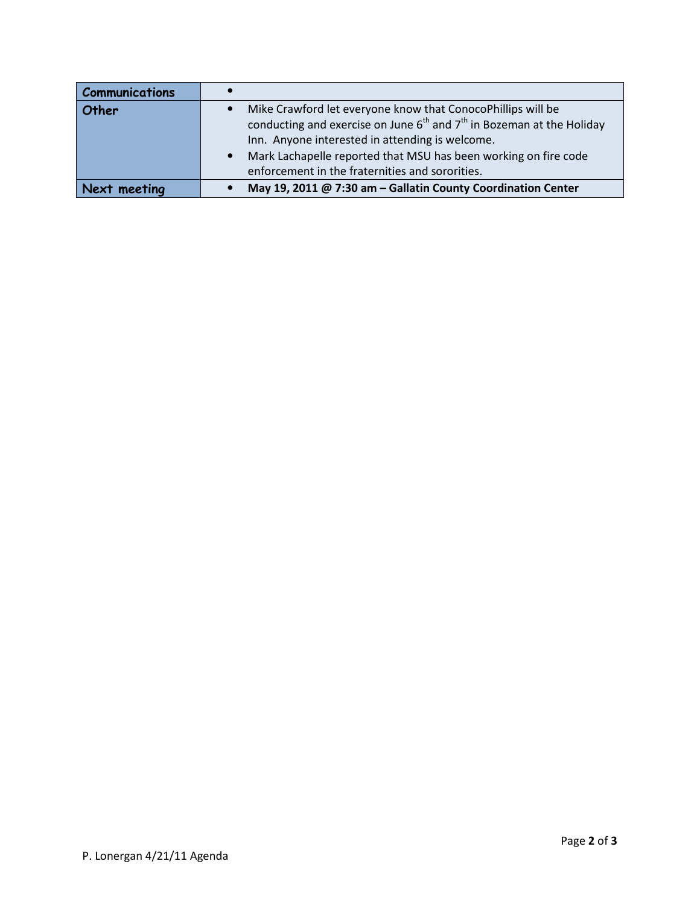| <b>Communications</b> |                                                                                                                                          |
|-----------------------|------------------------------------------------------------------------------------------------------------------------------------------|
| Other                 | Mike Crawford let everyone know that ConocoPhillips will be<br>conducting and exercise on June $6th$ and $7th$ in Bozeman at the Holiday |
|                       | Inn. Anyone interested in attending is welcome.                                                                                          |
|                       | Mark Lachapelle reported that MSU has been working on fire code                                                                          |
|                       | enforcement in the fraternities and sororities.                                                                                          |
| Next meeting          | May 19, 2011 @ 7:30 am - Gallatin County Coordination Center                                                                             |